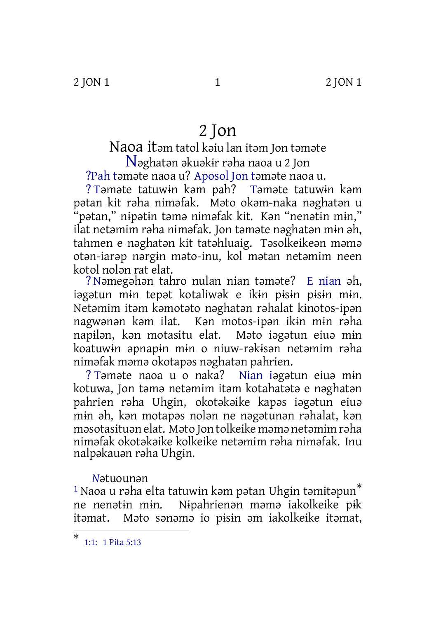2 JON 1 2 JON 1

# 2 Jon

Naoa itəm tatol kəiu lan itəm Jon təməte N<sup>ə</sup>ghatə<sup>n</sup> <sup>ə</sup>kuəkɨ<sup>r</sup> <sup>r</sup>əha naoa <sup>u</sup> <sup>2</sup> Jon

?Pah təməte naoa u? Aposol Jon təməte naoa u.

? Təməte tatuwɨn kəm pah? Təməte tatuwɨn kəm pətan kit rəha niməfak. Məto okəm-naka nəghatən u "pətan," nɨpətɨn təmə niməfak kit. Kən "nenətɨn mɨn," ilat netəmim rəha niməfak. Jon təməte nəghatən mɨn əh, tahmen e nəghatən kit tatəhluaig. Təsolkeikeən məmə otən-iarəp nərgɨn məto-inu, kol mətan netəmim neen kotol nolən rat elat.

?Nəmegəhən tahro nulan nian təməte? E nian əh, iəgətun mɨn tepət kotaliwək e ikɨn pɨsɨn pɨsɨn mɨn. Netəmim itəm kəmotəto nəghatən rəhalat kɨnotos-ipən nagwənən kəm ilat. Kən motos-ipən ikɨn mɨn rəha napɨlən, kən motasitu elat. Məto iəgətun eiuə mɨn koatuwɨn əpnapɨn mɨn o niuw-rəkɨsən netəmim rəha niməfak məmə okotapəs nəghatən pahrien.

? Təməte naoa u o naka? Nian iəgətun eiuə mɨn kotuwa, Jon təmə netəmim itəm kotahatətə e nəghatən pahrien rəha Uhgɨn, okotəkəike kapəs iəgətun eiuə mɨn əh, kən motapəs nolən ne nəgətunən rəhalat, kən məsotasituən elat. Məto Jon tolkeike məmə netəmim rəha niməfak okotəkəike kolkeike netəmim rəha niməfak. Inu nalpəkauən rəha Uhgɨn.

## *N*ətuounən

 $^{\rm 1}$  Naoa u rəha elta tatuwin kəm pətan Uhgin təmitəpun $^*$ ne nenətɨn mɨn. Nɨpahrienən məmə iakolkeike pɨk itəmat. Məto sənəmə io pɨsɨn əm iakolkeike itəmat,

<sup>\*</sup> 1:1: 1 Pita 5:13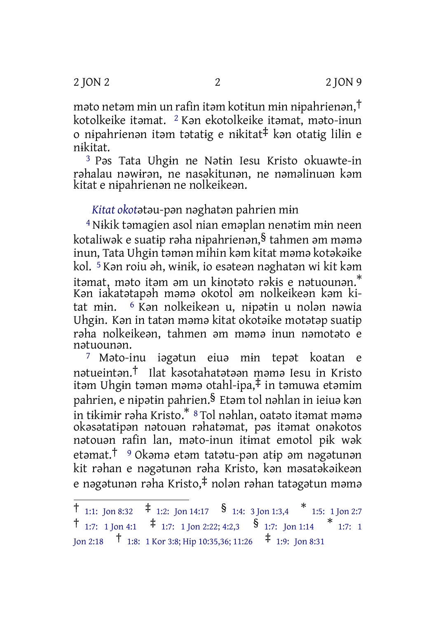məto netəm mɨn un rafin itəm kotɨtun mɨn nɨpahrienən,† kotolkeike itəmat. 2 Kən ekotolkeike itəmat, məto-inun o nɨpahrienən itəm tətatɨg e nɨkitat‡ kən otatɨg lilɨn e nɨkitat.

3 Pəs Tata Uhgɨn ne Nətɨn Iesu Kristo okuawte-in rəhalau nəwɨrən, ne nasəkitunən, ne nəməlinuən kəm kitat e nɨpahrienən ne nolkeikeən.

## *Kitat okot*ətəu-pən nəghatən pahrien mɨn

4 Nɨkik təmagien asol nian eməplan nenətɨm mɨn neen kotaliwək e suatɨp rəha nɨpahrienən,§ tahmen əm məmə inun, Tata Uhgɨn təmən mihin kəm kitat məmə kotəkəike kol. 5 Kən roiu əh, wɨnɨk, io esəteən nəghatən wi kit kəm itəmat, məto itəm əm un kɨnotəto rəkɨs e nətuounən. \* Kən iakatətapəh məmə okotol əm nolkeikeən kəm kitat mɨn. 6 Kən nolkeikeən u, nɨpətɨn u nolən nəwia Uhgɨn. Kən in tatən məmə kitat okotəike motətəp suatɨp rəha nolkeikeən, tahmen əm məmə inun nəmotəto e nətuounən.

7 Məto-inu iəgətun eiuə mɨn tepət koatan e nətueintən.† Ilat kəsotahatətəən məmə Iesu in Kristo itəm Uhgɨn təmən məmə otahl-ipa,‡ in təmuwa etəmim pahrien, e nɨpətɨn pahrien.§ Etəm tol nəhlan in ieiuə kən in tɨkɨmɨr rəha Kristo.\* <sup>8</sup> Tol nəhlan, oatəto itəmat məmə okəsətatɨpən nətouən rəhatəmat, pəs itəmat onəkotos nətouən rafin lan, məto-inun itɨmat emotol pɨk wək etəmat.† <sup>9</sup> Okəmə etəm tatətu-pən atɨp əm nəgətunən kit rəhan e nəgətunən rəha Kristo, kən məsatəkəikeən e nəgətunən rəha Kristo,‡ nolən rəhan tatəgətun məmə

 $\dagger$  1:1: Jon 8:32  $\dagger$  1:2: Jon 14:17  $\frac{1}{3}$  1:4: 3 Jon 1:3,4  $\stackrel{*}{\phantom{*}}$  1:5: 1 Jon 2:7  $\dagger$  1:7: 1 Jon 4:1  $\dagger$  1:7: 1 Jon 2:22; 4:2,3  $\delta$  1:7: Jon 1:14  $\ast$  1:7: 1 Jon 2:18 † 1:8: <sup>1</sup> Kor 3:8; Hip 10:35,36; 11:26 ‡ 1:9: Jon 8:31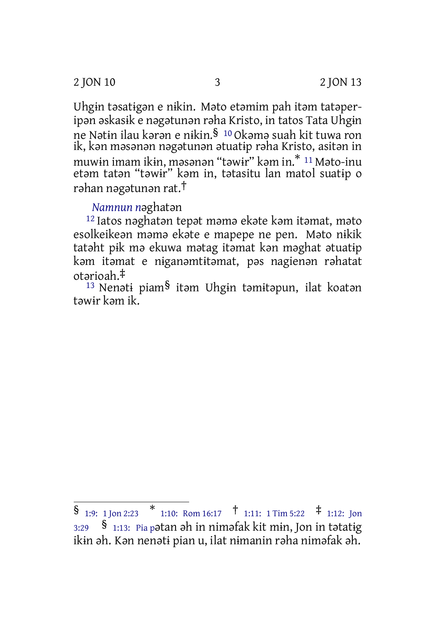2 JON 10 3 2 JON 13

Uhgɨn təsatɨgən e nɨkin. Məto etəmim pah itəm tatəperipən əskasɨk e nəgətunən rəha Kristo, in tatos Tata Uhgɨn ne Nətɨn ilau kərən e nɨkin.§ <sup>10</sup> Okəmə suah kit tuwa ron ik, kən məsənən nəgətunən ətuatɨp rəha Kristo, asitən in muwɨn imam ikɨn, məsənən "təwɨr" kəm in.\* <sup>11</sup> Məto-inu etəm tatən "təwɨr" kəm in, tətasitu lan matol suatɨp o rəhan nəgətunən rat.†

## *Namnun n*əghatən

12 Iatos nəghatən tepət məmə ekəte kəm itəmat, məto esolkeikeən məmə ekəte e mapepe ne pen. Məto nɨkik tatəht pɨk mə ekuwa mətag itəmat kən məghat ətuatɨp kəm itəmat e nɨganəmtɨtəmat, pəs nagienən rəhatat otərioah.‡

<sup>13</sup> Nenəti piam<sup>§</sup> itəm Uhgin təmitəpun, ilat koatən təwɨr kəm ik.

 $\begin{array}{cccc} \S_{1:9:1 \text{ Jon 2:23}} & * & 1:10: \text{ Rom }16:17 & \uparrow 1:11:1 \text{ Tim }5:22 & * & 1:12: \text{ Jon} \end{array}$ 3:29 § 1:13: Pia <sup>p</sup>ətan əh in niməfak kit mɨn, Jon in tətatɨg ikɨn əh. Kən nenətɨ pian u, ilat nɨmanin rəha niməfak əh.